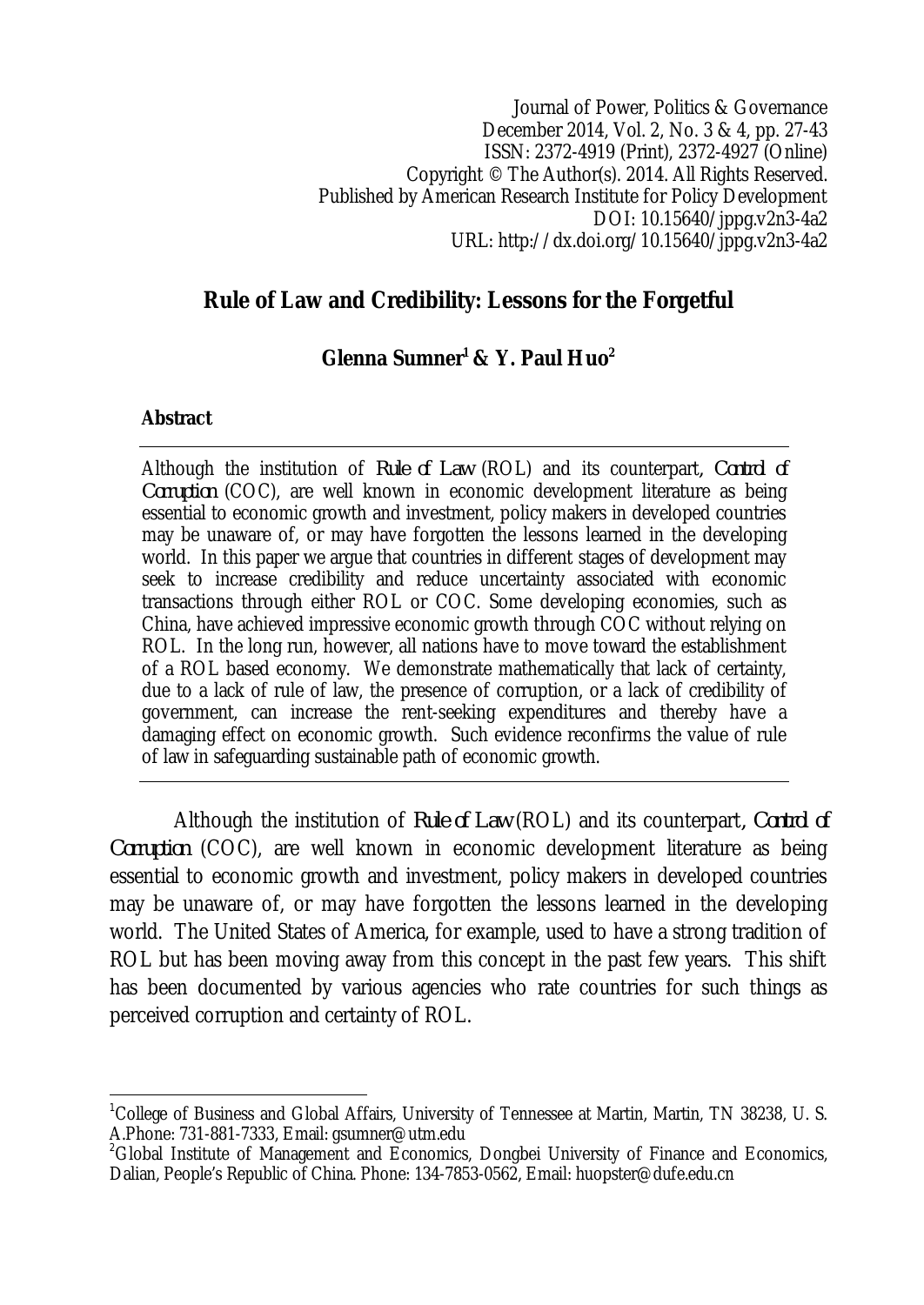Journal of Power, Politics & Governance December 2014, Vol. 2, No. 3 & 4, pp. 27-43 ISSN: 2372-4919 (Print), 2372-4927 (Online) Copyright © The Author(s). 2014. All Rights Reserved. Published by American Research Institute for Policy Development DOI: 10.15640/jppg.v2n3-4a2 URL: http://dx.doi.org/10.15640/jppg.v2n3-4a2

## **Rule of Law and Credibility: Lessons for the Forgetful**

## **Glenna Sumner<sup>1</sup> & Y. Paul Huo<sup>2</sup>**

#### **Abstract**

Although the institution of *Rule of Law* (ROL) and its counterpart*, Control of Corruption* (COC), are well known in economic development literature as being essential to economic growth and investment, policy makers in developed countries may be unaware of, or may have forgotten the lessons learned in the developing world. In this paper we argue that countries in different stages of development may seek to increase credibility and reduce uncertainty associated with economic transactions through either ROL or COC. Some developing economies, such as China, have achieved impressive economic growth through COC without relying on ROL. In the long run, however, all nations have to move toward the establishment of a ROL based economy. We demonstrate mathematically that lack of certainty, due to a lack of rule of law, the presence of corruption, or a lack of credibility of government, can increase the rent-seeking expenditures and thereby have a damaging effect on economic growth. Such evidence reconfirms the value of rule of law in safeguarding sustainable path of economic growth.

Although the institution of *Rule of Law* (ROL) and its counterpart*, Control of Corruption* (COC), are well known in economic development literature as being essential to economic growth and investment, policy makers in developed countries may be unaware of, or may have forgotten the lessons learned in the developing world. The United States of America, for example, used to have a strong tradition of ROL but has been moving away from this concept in the past few years. This shift has been documented by various agencies who rate countries for such things as perceived corruption and certainty of ROL.

 $\overline{\phantom{a}}$ <sup>1</sup>College of Business and Global Affairs, University of Tennessee at Martin, Martin, TN 38238, U. S. A.Phone: 731-881-7333, Email: gsumner@utm.edu

<sup>&</sup>lt;sup>2</sup>Global Institute of Management and Economics, Dongbei University of Finance and Economics, Dalian, People's Republic of China. Phone: 134-7853-0562, Email: huopster@dufe.edu.cn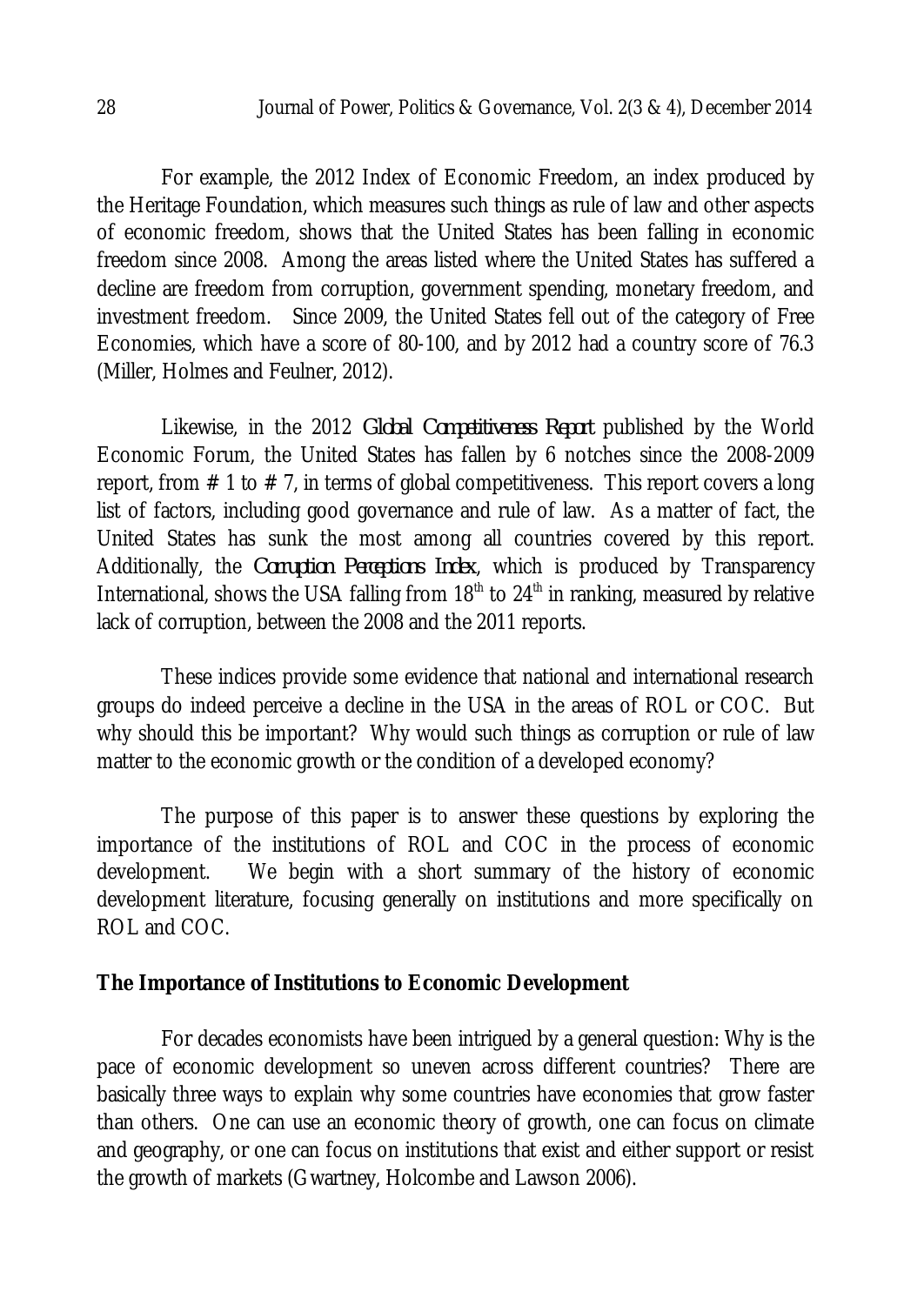For example, the 2012 Index of Economic Freedom, an index produced by the Heritage Foundation, which measures such things as rule of law and other aspects of economic freedom, shows that the United States has been falling in economic freedom since 2008. Among the areas listed where the United States has suffered a decline are freedom from corruption, government spending, monetary freedom, and investment freedom. Since 2009, the United States fell out of the category of Free Economies, which have a score of 80-100, and by 2012 had a country score of 76.3 (Miller, Holmes and Feulner, 2012).

Likewise, in the 2012 *Global Competitiveness Report* published by the World Economic Forum, the United States has fallen by 6 notches since the 2008-2009 report, from  $\#$  1 to  $\#$  7, in terms of global competitiveness. This report covers a long list of factors, including good governance and rule of law. As a matter of fact, the United States has sunk the most among all countries covered by this report. Additionally, the *Corruption Perceptions Index*, which is produced by Transparency International, shows the USA falling from  $18<sup>th</sup>$  to  $24<sup>th</sup>$  in ranking, measured by relative lack of corruption, between the 2008 and the 2011 reports.

These indices provide some evidence that national and international research groups do indeed perceive a decline in the USA in the areas of ROL or COC. But why should this be important? Why would such things as corruption or rule of law matter to the economic growth or the condition of a developed economy?

The purpose of this paper is to answer these questions by exploring the importance of the institutions of ROL and COC in the process of economic development. We begin with a short summary of the history of economic development literature, focusing generally on institutions and more specifically on ROL and COC.

#### **The Importance of Institutions to Economic Development**

For decades economists have been intrigued by a general question: Why is the pace of economic development so uneven across different countries? There are basically three ways to explain why some countries have economies that grow faster than others. One can use an economic theory of growth, one can focus on climate and geography, or one can focus on institutions that exist and either support or resist the growth of markets (Gwartney, Holcombe and Lawson 2006).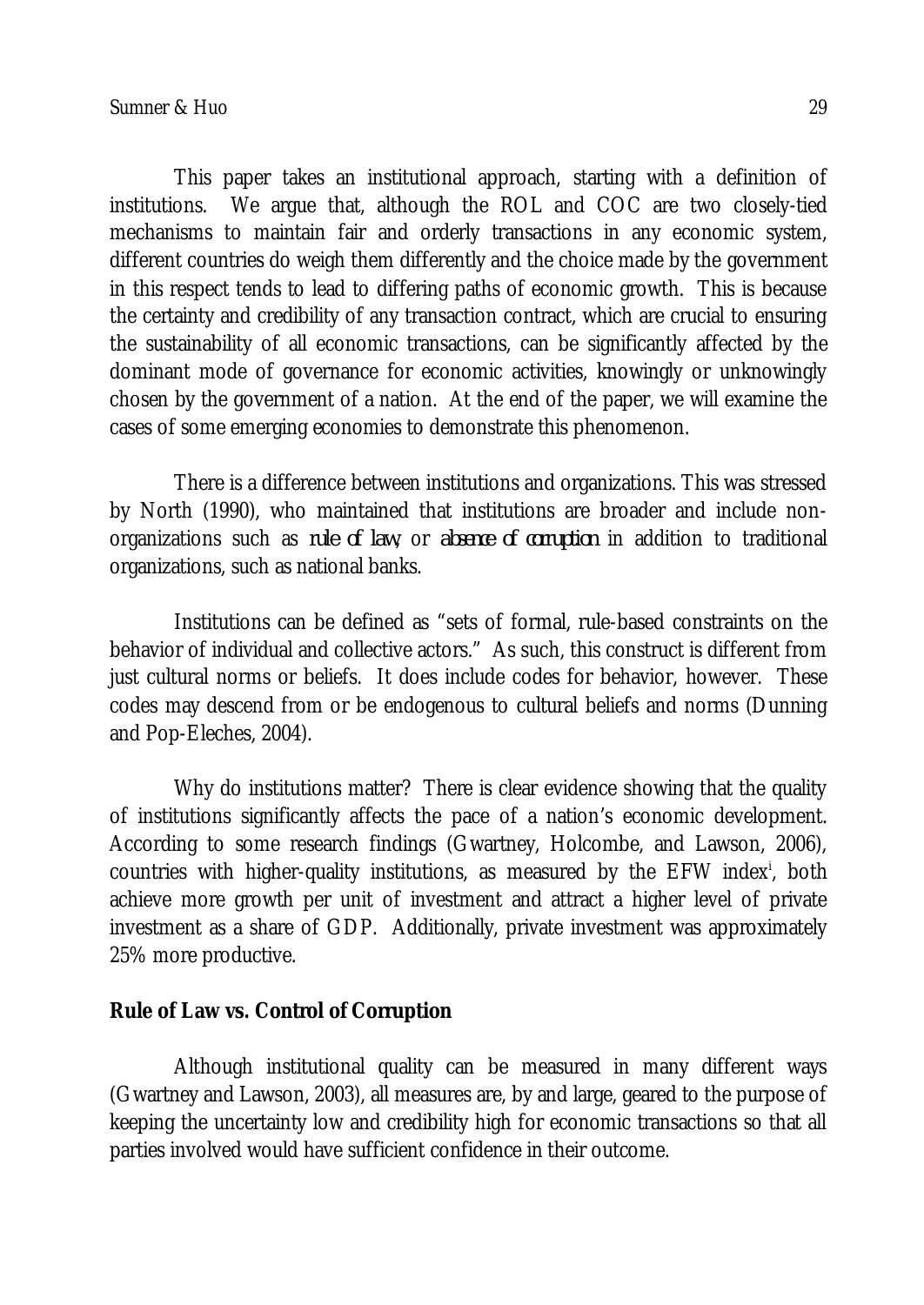This paper takes an institutional approach, starting with a definition of institutions. We argue that, although the ROL and COC are two closely-tied mechanisms to maintain fair and orderly transactions in any economic system, different countries do weigh them differently and the choice made by the government in this respect tends to lead to differing paths of economic growth. This is because the certainty and credibility of any transaction contract, which are crucial to ensuring the sustainability of all economic transactions, can be significantly affected by the dominant mode of governance for economic activities, knowingly or unknowingly chosen by the government of a nation. At the end of the paper, we will examine the cases of some emerging economies to demonstrate this phenomenon.

There is a difference between institutions and organizations. This was stressed by North (1990), who maintained that institutions are broader and include nonorganizations such as *rule of law*, or *absence of corruption* in addition to traditional organizations, such as national banks.

Institutions can be defined as "sets of formal, rule-based constraints on the behavior of individual and collective actors." As such, this construct is different from just cultural norms or beliefs. It does include codes for behavior, however. These codes may descend from or be endogenous to cultural beliefs and norms (Dunning and Pop-Eleches, 2004).

Why do institutions matter? There is clear evidence showing that the quality of institutions significantly affects the pace of a nation's economic development. According to some research findings (Gwartney, Holcombe, and Lawson, 2006), countries with higher-quality institutions, as measured by the EFW index<sup>i</sup>, both achieve more growth per unit of investment and attract a higher level of private investment as a share of GDP. Additionally, private investment was approximately 25% more productive.

### **Rule of Law vs. Control of Corruption**

Although institutional quality can be measured in many different ways (Gwartney and Lawson, 2003), all measures are, by and large, geared to the purpose of keeping the uncertainty low and credibility high for economic transactions so that all parties involved would have sufficient confidence in their outcome.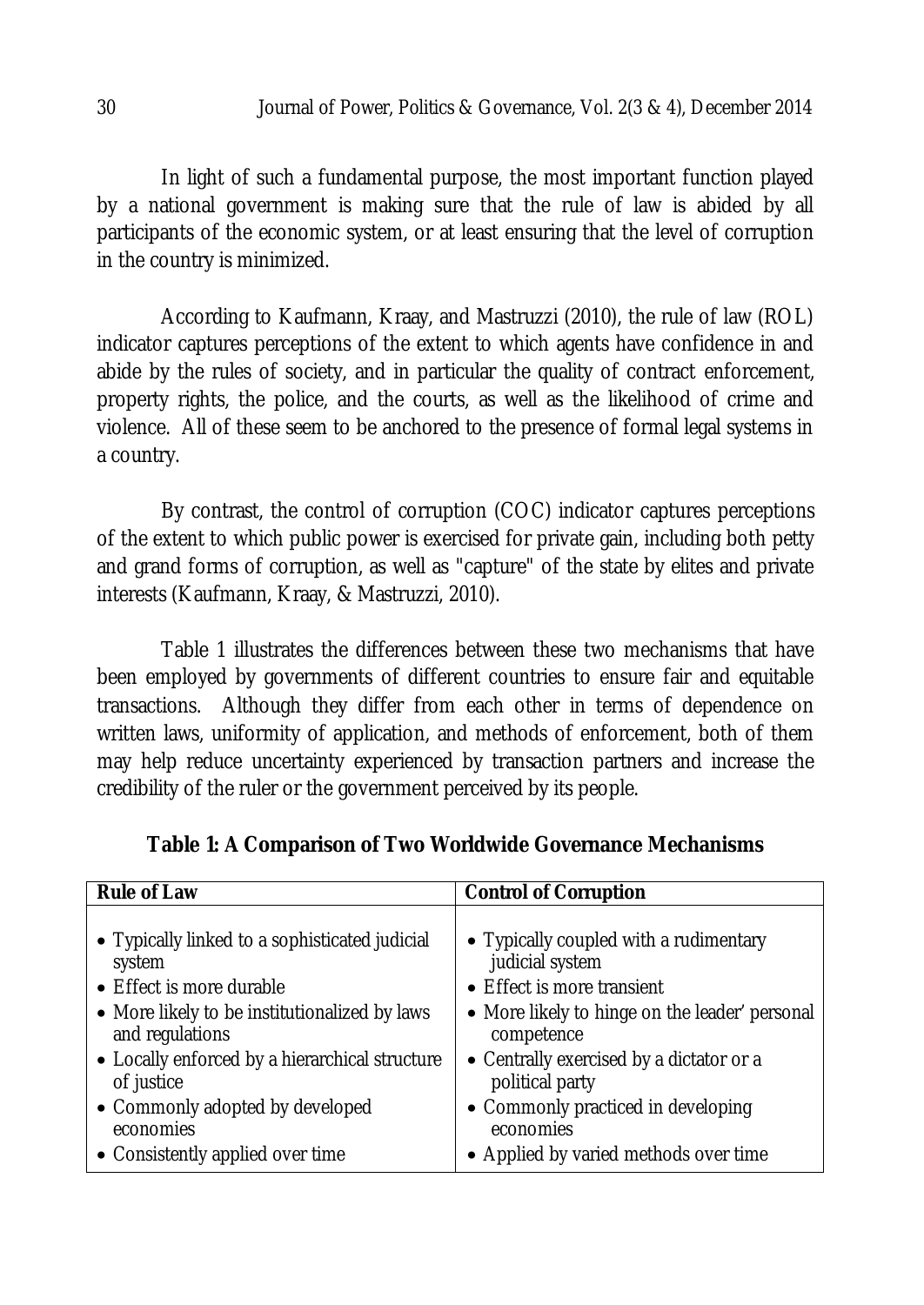In light of such a fundamental purpose, the most important function played by a national government is making sure that the rule of law is abided by all participants of the economic system, or at least ensuring that the level of corruption in the country is minimized.

According to Kaufmann, Kraay, and Mastruzzi (2010), the rule of law (ROL) indicator captures perceptions of the extent to which agents have confidence in and abide by the rules of society, and in particular the quality of contract enforcement, property rights, the police, and the courts, as well as the likelihood of crime and violence. All of these seem to be anchored to the presence of formal legal systems in a country.

By contrast, the control of corruption (COC) indicator captures perceptions of the extent to which public power is exercised for private gain, including both petty and grand forms of corruption, as well as "capture" of the state by elites and private interests (Kaufmann, Kraay, & Mastruzzi, 2010).

Table 1 illustrates the differences between these two mechanisms that have been employed by governments of different countries to ensure fair and equitable transactions. Although they differ from each other in terms of dependence on written laws, uniformity of application, and methods of enforcement, both of them may help reduce uncertainty experienced by transaction partners and increase the credibility of the ruler or the government perceived by its people.

| <b>Rule of Law</b>                             | <b>Control of Corruption</b>                   |
|------------------------------------------------|------------------------------------------------|
| • Typically linked to a sophisticated judicial | • Typically coupled with a rudimentary         |
| system                                         | judicial system                                |
| • Effect is more durable                       | • Effect is more transient                     |
| • More likely to be institutionalized by laws  | • More likely to hinge on the leader' personal |
| and regulations                                | competence                                     |
| • Locally enforced by a hierarchical structure | • Centrally exercised by a dictator or a       |
| of justice                                     | political party                                |
| • Commonly adopted by developed                | • Commonly practiced in developing             |
| economies                                      | economies                                      |
| • Consistently applied over time               | • Applied by varied methods over time          |

**Table 1: A Comparison of Two Worldwide Governance Mechanisms**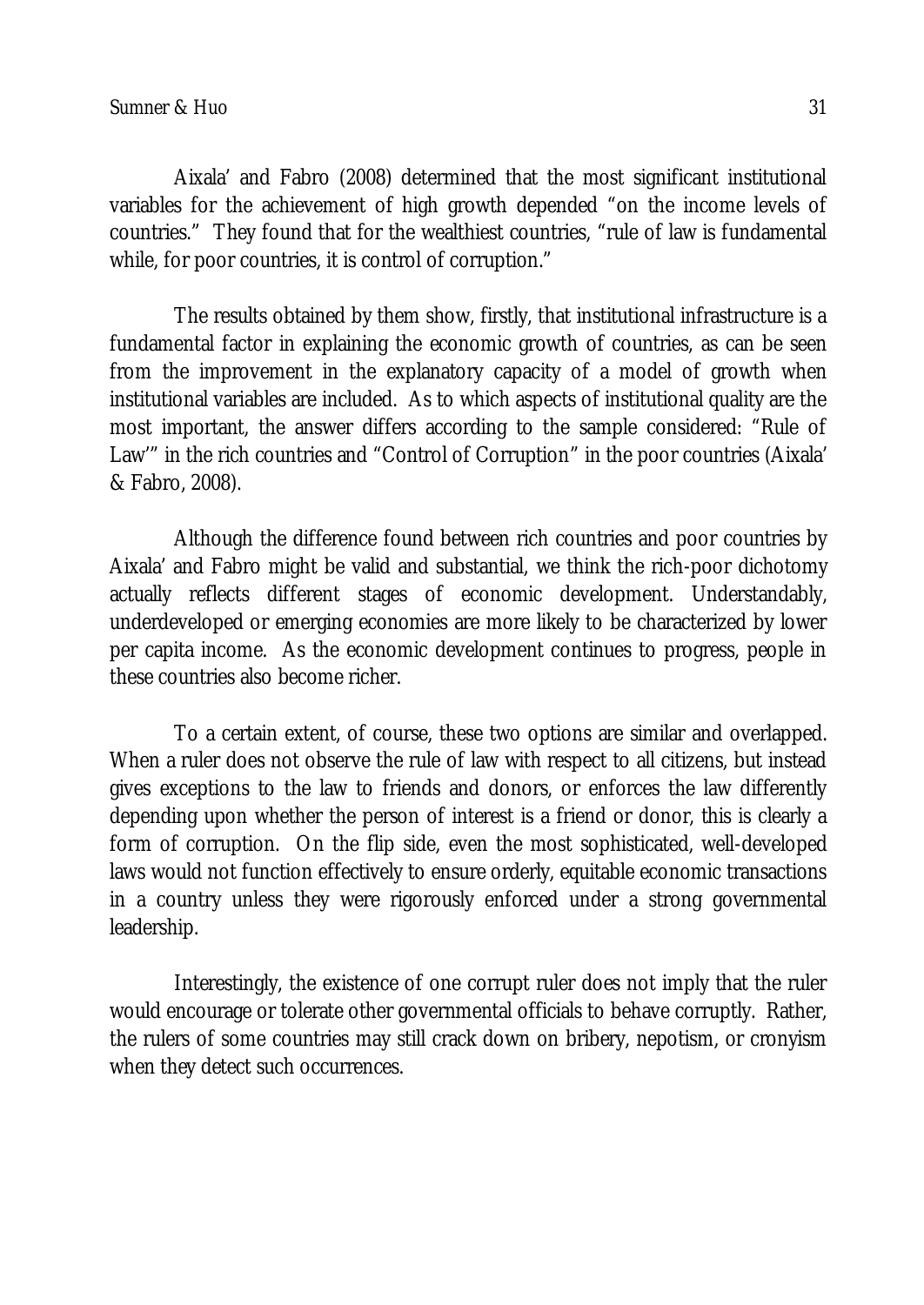Aixala' and Fabro (2008) determined that the most significant institutional variables for the achievement of high growth depended "on the income levels of countries." They found that for the wealthiest countries, "rule of law is fundamental while, for poor countries, it is control of corruption."

The results obtained by them show, firstly, that institutional infrastructure is a fundamental factor in explaining the economic growth of countries, as can be seen from the improvement in the explanatory capacity of a model of growth when institutional variables are included. As to which aspects of institutional quality are the most important, the answer differs according to the sample considered: "Rule of Law'" in the rich countries and "Control of Corruption" in the poor countries (Aixala' & Fabro, 2008).

Although the difference found between rich countries and poor countries by Aixala' and Fabro might be valid and substantial, we think the rich-poor dichotomy actually reflects different stages of economic development. Understandably, underdeveloped or emerging economies are more likely to be characterized by lower per capita income. As the economic development continues to progress, people in these countries also become richer.

To a certain extent, of course, these two options are similar and overlapped. When a ruler does not observe the rule of law with respect to all citizens, but instead gives exceptions to the law to friends and donors, or enforces the law differently depending upon whether the person of interest is a friend or donor, this is clearly a form of corruption. On the flip side, even the most sophisticated, well-developed laws would not function effectively to ensure orderly, equitable economic transactions in a country unless they were rigorously enforced under a strong governmental leadership.

Interestingly, the existence of one corrupt ruler does not imply that the ruler would encourage or tolerate other governmental officials to behave corruptly. Rather, the rulers of some countries may still crack down on bribery, nepotism, or cronyism when they detect such occurrences.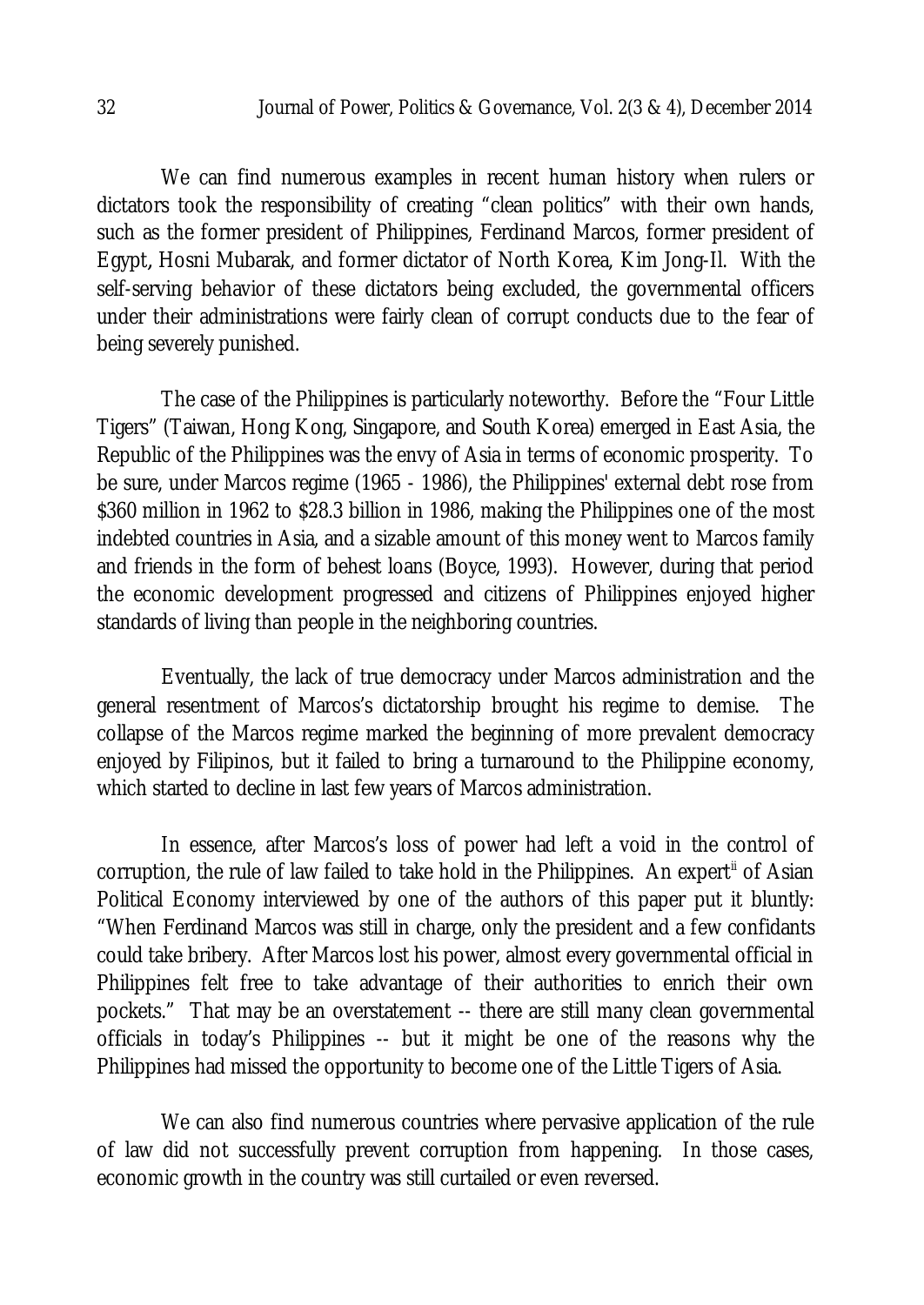We can find numerous examples in recent human history when rulers or dictators took the responsibility of creating "clean politics" with their own hands, such as the former president of Philippines, Ferdinand Marcos, former president of Egypt*,* Hosni Mubarak, and former dictator of North Korea, Kim Jong-Il. With the self-serving behavior of these dictators being excluded, the governmental officers under their administrations were fairly clean of corrupt conducts due to the fear of being severely punished.

The case of the Philippines is particularly noteworthy. Before the "Four Little Tigers" (Taiwan, Hong Kong, Singapore, and South Korea) emerged in East Asia, the Republic of the Philippines was the envy of Asia in terms of economic prosperity. To be sure, under Marcos regime (1965 - 1986), the Philippines' external debt rose from \$360 million in 1962 to \$28.3 billion in 1986, making the Philippines one of the most indebted countries in Asia, and a sizable amount of this money went to Marcos family and friends in the form of behest loans (Boyce, 1993). However, during that period the economic development progressed and citizens of Philippines enjoyed higher standards of living than people in the neighboring countries.

Eventually, the lack of true democracy under Marcos administration and the general resentment of Marcos's dictatorship brought his regime to demise. The collapse of the Marcos regime marked the beginning of more prevalent democracy enjoyed by Filipinos, but it failed to bring a turnaround to the Philippine economy, which started to decline in last few years of Marcos administration.

In essence, after Marcos's loss of power had left a void in the control of corruption, the rule of law failed to take hold in the Philippines. An expert<sup>ii</sup> of Asian Political Economy interviewed by one of the authors of this paper put it bluntly: "When Ferdinand Marcos was still in charge, only the president and a few confidants could take bribery. After Marcos lost his power, almost every governmental official in Philippines felt free to take advantage of their authorities to enrich their own pockets." That may be an overstatement -- there are still many clean governmental officials in today's Philippines -- but it might be one of the reasons why the Philippines had missed the opportunity to become one of the Little Tigers of Asia.

We can also find numerous countries where pervasive application of the rule of law did not successfully prevent corruption from happening. In those cases, economic growth in the country was still curtailed or even reversed.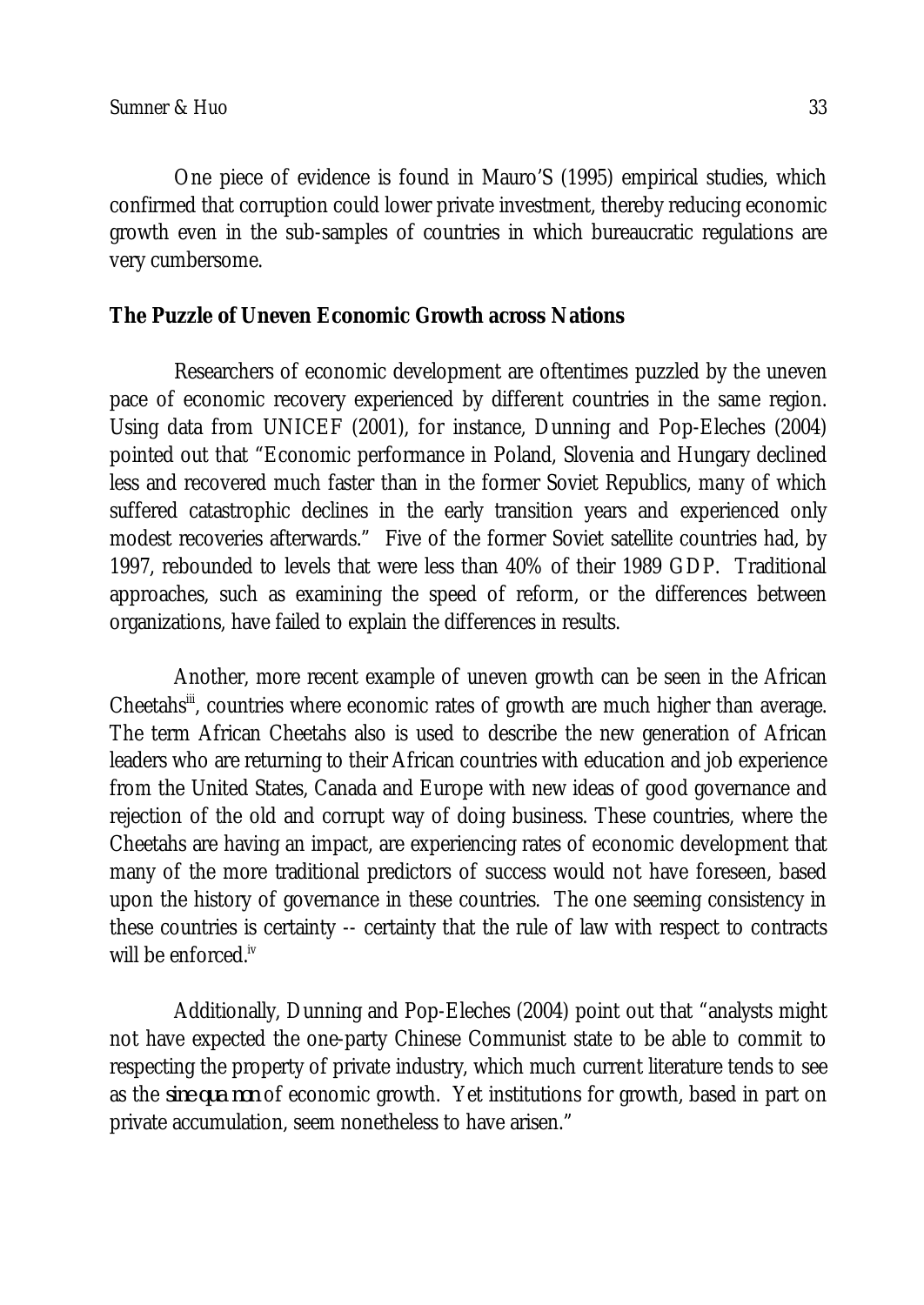One piece of evidence is found in Mauro'S (1995) empirical studies, which confirmed that corruption could lower private investment, thereby reducing economic growth even in the sub-samples of countries in which bureaucratic regulations are very cumbersome.

### **The Puzzle of Uneven Economic Growth across Nations**

Researchers of economic development are oftentimes puzzled by the uneven pace of economic recovery experienced by different countries in the same region. Using data from UNICEF (2001), for instance, Dunning and Pop-Eleches (2004) pointed out that "Economic performance in Poland, Slovenia and Hungary declined less and recovered much faster than in the former Soviet Republics, many of which suffered catastrophic declines in the early transition years and experienced only modest recoveries afterwards." Five of the former Soviet satellite countries had, by 1997, rebounded to levels that were less than 40% of their 1989 GDP. Traditional approaches, such as examining the speed of reform, or the differences between organizations, have failed to explain the differences in results.

Another, more recent example of uneven growth can be seen in the African Cheetahs<sup>iii</sup>, countries where economic rates of growth are much higher than average. The term African Cheetahs also is used to describe the new generation of African leaders who are returning to their African countries with education and job experience from the United States, Canada and Europe with new ideas of good governance and rejection of the old and corrupt way of doing business. These countries, where the Cheetahs are having an impact, are experiencing rates of economic development that many of the more traditional predictors of success would not have foreseen, based upon the history of governance in these countries. The one seeming consistency in these countries is certainty -- certainty that the rule of law with respect to contracts will be enforced.<sup>iv</sup>

Additionally, Dunning and Pop-Eleches (2004) point out that "analysts might not have expected the one-party Chinese Communist state to be able to commit to respecting the property of private industry, which much current literature tends to see as the *sine qua non* of economic growth. Yet institutions for growth, based in part on private accumulation, seem nonetheless to have arisen."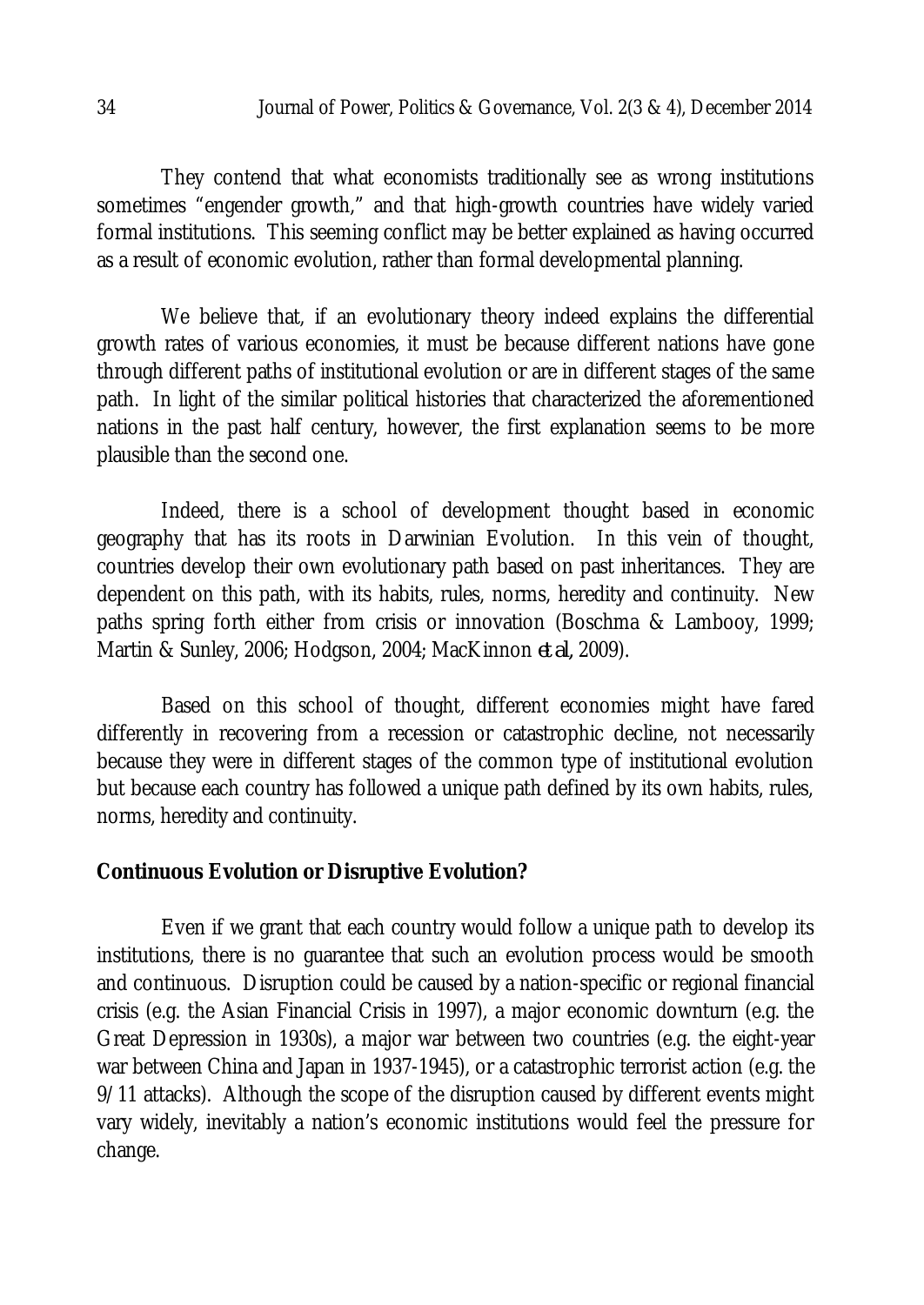They contend that what economists traditionally see as wrong institutions sometimes "engender growth," and that high-growth countries have widely varied formal institutions. This seeming conflict may be better explained as having occurred as a result of economic evolution, rather than formal developmental planning.

We believe that, if an evolutionary theory indeed explains the differential growth rates of various economies, it must be because different nations have gone through different paths of institutional evolution or are in different stages of the same path. In light of the similar political histories that characterized the aforementioned nations in the past half century, however, the first explanation seems to be more plausible than the second one.

Indeed, there is a school of development thought based in economic geography that has its roots in Darwinian Evolution. In this vein of thought, countries develop their own evolutionary path based on past inheritances. They are dependent on this path, with its habits, rules, norms, heredity and continuity. New paths spring forth either from crisis or innovation (Boschma & Lambooy, 1999; Martin & Sunley, 2006; Hodgson, 2004; MacKinnon *et al,* 2009).

Based on this school of thought, different economies might have fared differently in recovering from a recession or catastrophic decline, not necessarily because they were in different stages of the common type of institutional evolution but because each country has followed a unique path defined by its own habits, rules, norms, heredity and continuity.

#### **Continuous Evolution or Disruptive Evolution?**

Even if we grant that each country would follow a unique path to develop its institutions, there is no guarantee that such an evolution process would be smooth and continuous. Disruption could be caused by a nation-specific or regional financial crisis (e.g. the Asian Financial Crisis in 1997), a major economic downturn (e.g. the Great Depression in 1930s), a major war between two countries (e.g. the eight-year war between China and Japan in 1937-1945), or a catastrophic terrorist action (e.g. the 9/11 attacks). Although the scope of the disruption caused by different events might vary widely, inevitably a nation's economic institutions would feel the pressure for change.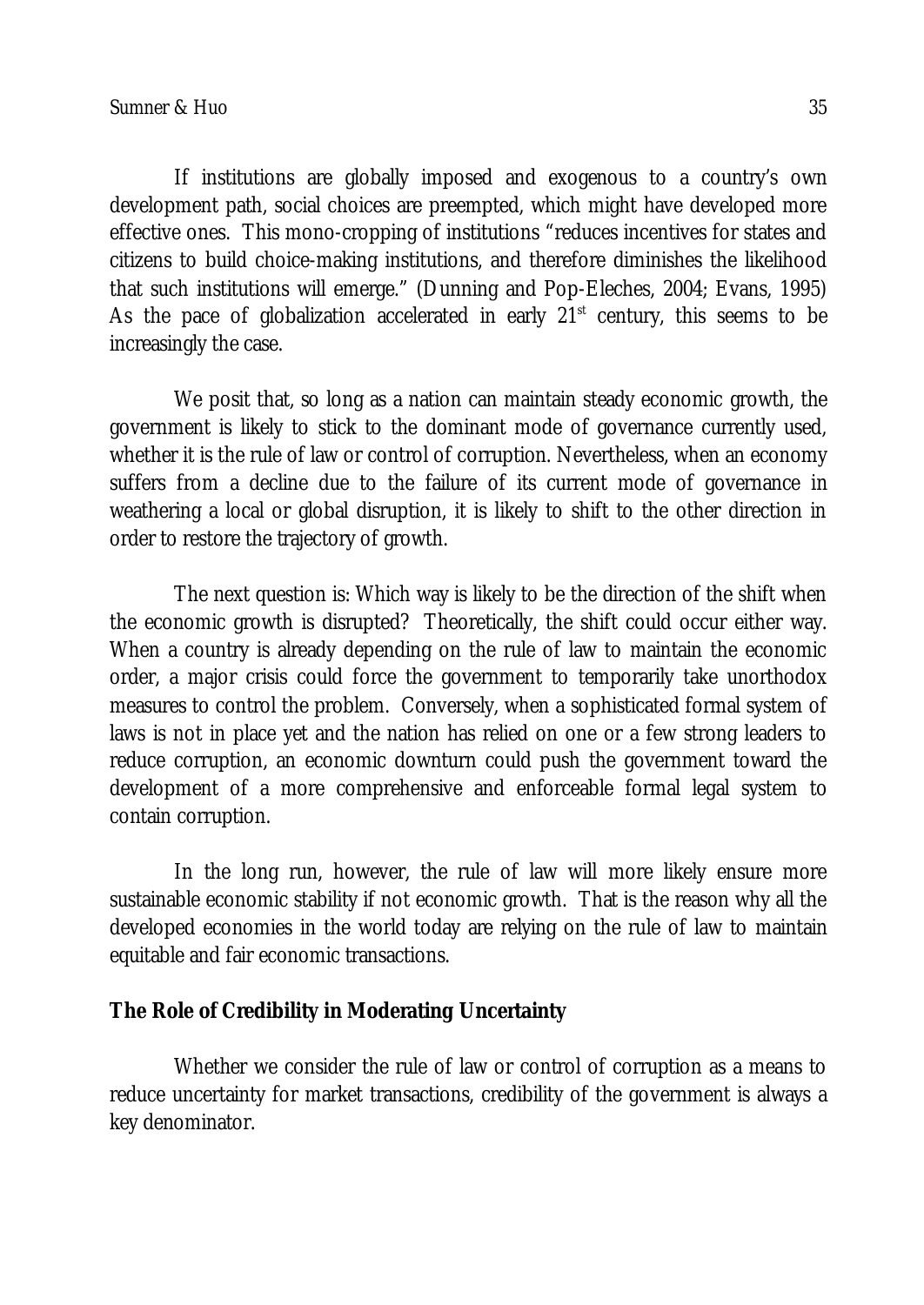If institutions are globally imposed and exogenous to a country's own development path, social choices are preempted, which might have developed more effective ones. This mono-cropping of institutions "reduces incentives for states and citizens to build choice-making institutions, and therefore diminishes the likelihood that such institutions will emerge." (Dunning and Pop-Eleches, 2004; Evans, 1995) As the pace of globalization accelerated in early  $21<sup>st</sup>$  century, this seems to be increasingly the case.

We posit that, so long as a nation can maintain steady economic growth, the government is likely to stick to the dominant mode of governance currently used, whether it is the rule of law or control of corruption. Nevertheless, when an economy suffers from a decline due to the failure of its current mode of governance in weathering a local or global disruption, it is likely to shift to the other direction in order to restore the trajectory of growth.

The next question is: Which way is likely to be the direction of the shift when the economic growth is disrupted? Theoretically, the shift could occur either way. When a country is already depending on the rule of law to maintain the economic order, a major crisis could force the government to temporarily take unorthodox measures to control the problem. Conversely, when a sophisticated formal system of laws is not in place yet and the nation has relied on one or a few strong leaders to reduce corruption, an economic downturn could push the government toward the development of a more comprehensive and enforceable formal legal system to contain corruption.

In the long run, however, the rule of law will more likely ensure more sustainable economic stability if not economic growth. That is the reason why all the developed economies in the world today are relying on the rule of law to maintain equitable and fair economic transactions.

### **The Role of Credibility in Moderating Uncertainty**

Whether we consider the rule of law or control of corruption as a means to reduce uncertainty for market transactions, credibility of the government is always a key denominator.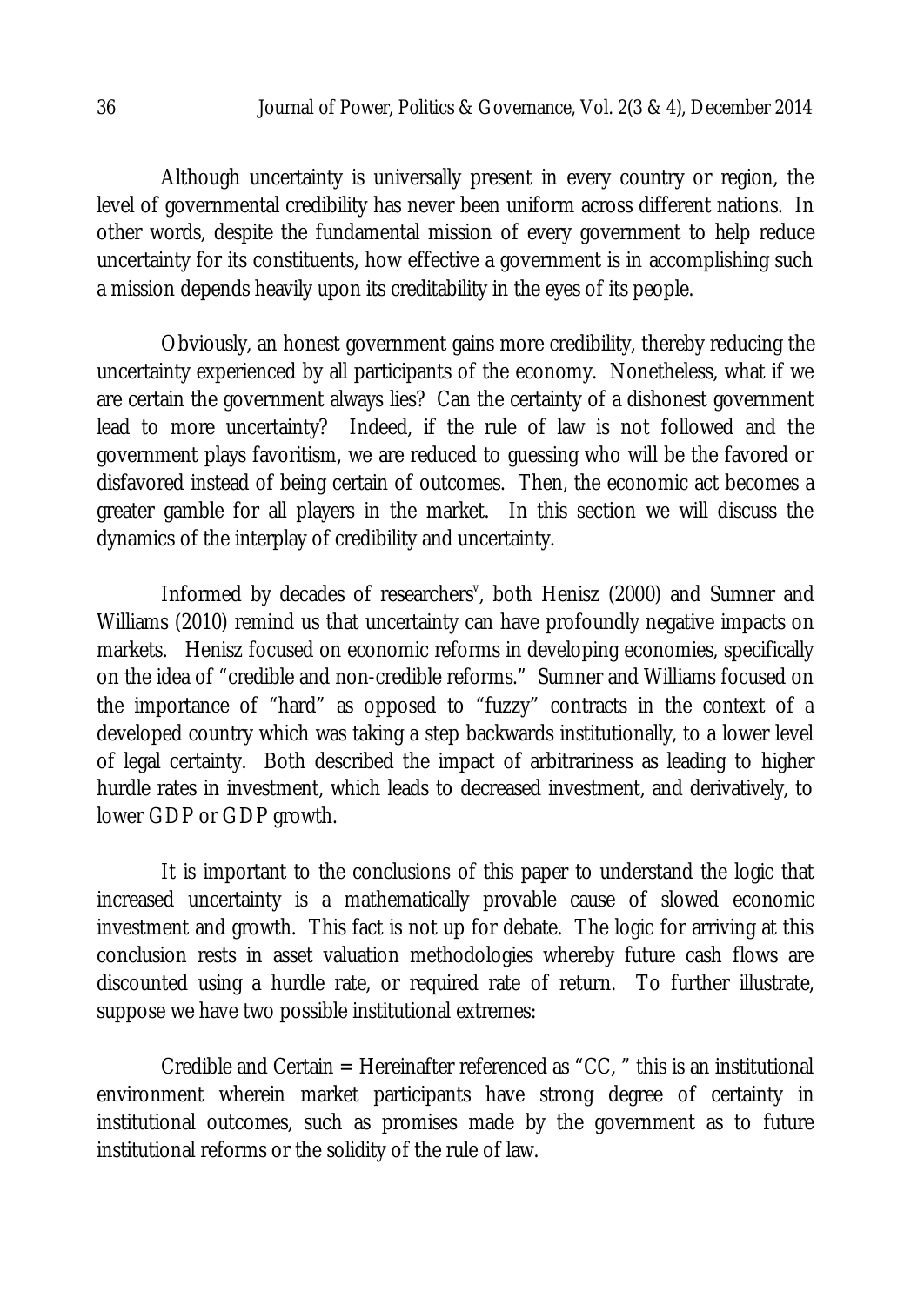Although uncertainty is universally present in every country or region, the level of governmental credibility has never been uniform across different nations. In other words, despite the fundamental mission of every government to help reduce uncertainty for its constituents, how effective a government is in accomplishing such a mission depends heavily upon its creditability in the eyes of its people.

Obviously, an honest government gains more credibility, thereby reducing the uncertainty experienced by all participants of the economy. Nonetheless, what if we are certain the government always lies? Can the certainty of a dishonest government lead to more uncertainty? Indeed, if the rule of law is not followed and the government plays favoritism, we are reduced to guessing who will be the favored or disfavored instead of being certain of outcomes. Then, the economic act becomes a greater gamble for all players in the market. In this section we will discuss the dynamics of the interplay of credibility and uncertainty.

Informed by decades of researchers<sup>v</sup>, both Henisz (2000) and Sumner and Williams (2010) remind us that uncertainty can have profoundly negative impacts on markets. Henisz focused on economic reforms in developing economies, specifically on the idea of "credible and non-credible reforms." Sumner and Williams focused on the importance of "hard" as opposed to "fuzzy" contracts in the context of a developed country which was taking a step backwards institutionally, to a lower level of legal certainty. Both described the impact of arbitrariness as leading to higher hurdle rates in investment, which leads to decreased investment, and derivatively, to lower GDP or GDP growth.

It is important to the conclusions of this paper to understand the logic that increased uncertainty is a mathematically provable cause of slowed economic investment and growth. This fact is not up for debate. The logic for arriving at this conclusion rests in asset valuation methodologies whereby future cash flows are discounted using a hurdle rate, or required rate of return. To further illustrate, suppose we have two possible institutional extremes:

Credible and Certain = Hereinafter referenced as "CC, " this is an institutional environment wherein market participants have strong degree of certainty in institutional outcomes, such as promises made by the government as to future institutional reforms or the solidity of the rule of law.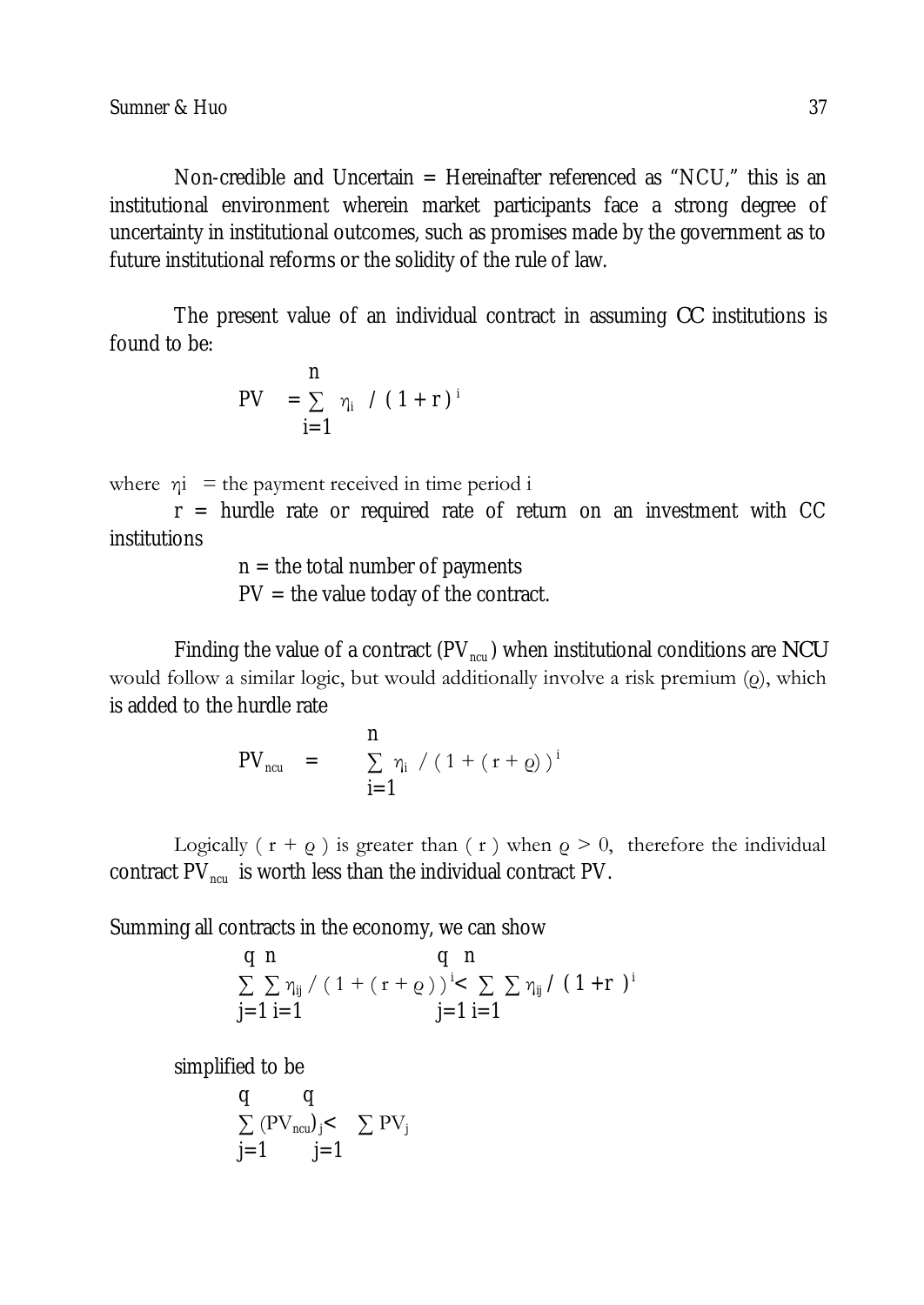Non-credible and Uncertain = Hereinafter referenced as "NCU," this is an institutional environment wherein market participants face a strong degree of uncertainty in institutional outcomes, such as promises made by the government as to future institutional reforms or the solidity of the rule of law.

The present value of an individual contract in assuming *CC* institutions is found to be:

$$
\begin{array}{ll} & n \\ PV & = \sum\limits_{i=1}^{n} \eta_i \ \ / \ (1+r)^{i} \end{array}
$$

where  $\eta i$  = the payment received in time period i

 $r =$  hurdle rate or required rate of return on an investment with CC institutions

> $n =$  the total number of payments  $PV =$  the value today of the contract.

Finding the value of a contract (PV<sub>ncu</sub>) when institutional conditions are *NCU* would follow a similar logic, but would additionally involve a risk premium (ρ), which is added to the hurdle rate

PV<sub>ncu</sub> = 
$$
\sum_{i=1}^{n} \eta_i / (1 + (r + \varrho))^{i}
$$

Logically ( $r + \rho$ ) is greater than ( $r$ ) when  $\rho > 0$ , therefore the individual contract  $PV_{\text{new}}$  is worth less than the individual contract PV.

Summing all contracts in the economy, we can show

q n  
\n
$$
\sum_{j=1}^{q} \sum_{i=1}^{n} \eta_{ij} / (1 + (r + \varrho))^{i} < \sum_{j=1}^{r} \sum_{i=1}^{n} \eta_{ij} / (1 + r)^{i}
$$

simplified to be

$$
\begin{array}{cc} q & q \\ \sum \left( \mathrm{PV}_{\text{ncu}} \right)_j < \quad \sum \mathrm{PV}_j \\ j\!=\!1 & j\!=\!1 \end{array}
$$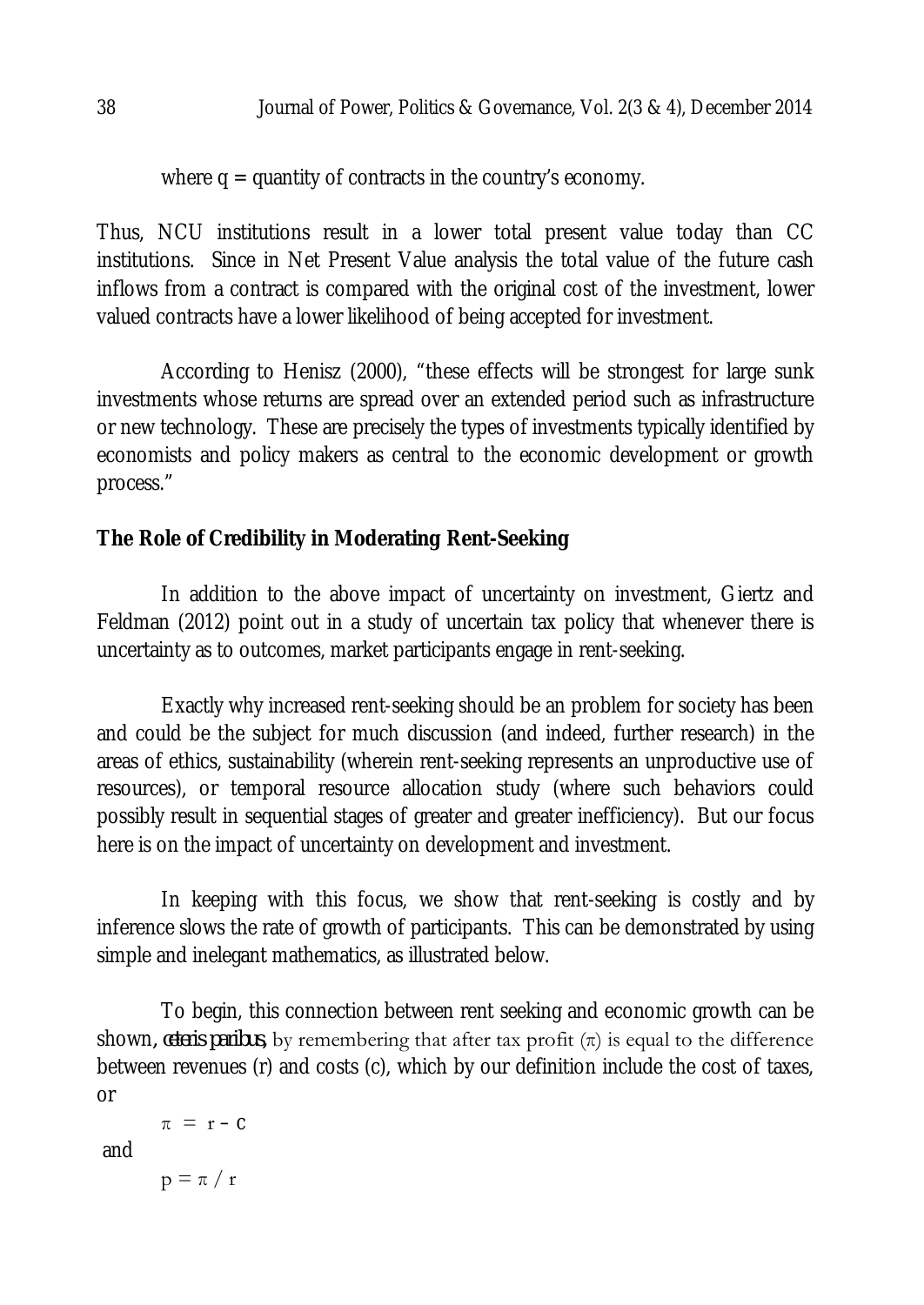where  $q =$  quantity of contracts in the country's economy.

Thus, NCU institutions result in a lower total present value today than CC institutions. Since in Net Present Value analysis the total value of the future cash inflows from a contract is compared with the original cost of the investment, lower valued contracts have a lower likelihood of being accepted for investment.

According to Henisz (2000), "these effects will be strongest for large sunk investments whose returns are spread over an extended period such as infrastructure or new technology. These are precisely the types of investments typically identified by economists and policy makers as central to the economic development or growth process."

# **The Role of Credibility in Moderating Rent-Seeking**

In addition to the above impact of uncertainty on investment, Giertz and Feldman (2012) point out in a study of uncertain tax policy that whenever there is uncertainty as to outcomes, market participants engage in rent-seeking.

Exactly why increased rent-seeking should be an problem for society has been and could be the subject for much discussion (and indeed, further research) in the areas of ethics, sustainability (wherein rent-seeking represents an unproductive use of resources), or temporal resource allocation study (where such behaviors could possibly result in sequential stages of greater and greater inefficiency). But our focus here is on the impact of uncertainty on development and investment.

In keeping with this focus, we show that rent-seeking is costly and by inference slows the rate of growth of participants. This can be demonstrated by using simple and inelegant mathematics, as illustrated below.

To begin, this connection between rent seeking and economic growth can be shown, *ceteris paribus*, by remembering that after tax profit  $(\pi)$  is equal to the difference between revenues (r) and costs (c), which by our definition include the cost of taxes, or

```
\pi = r - C
```
and

 $p = \pi / r$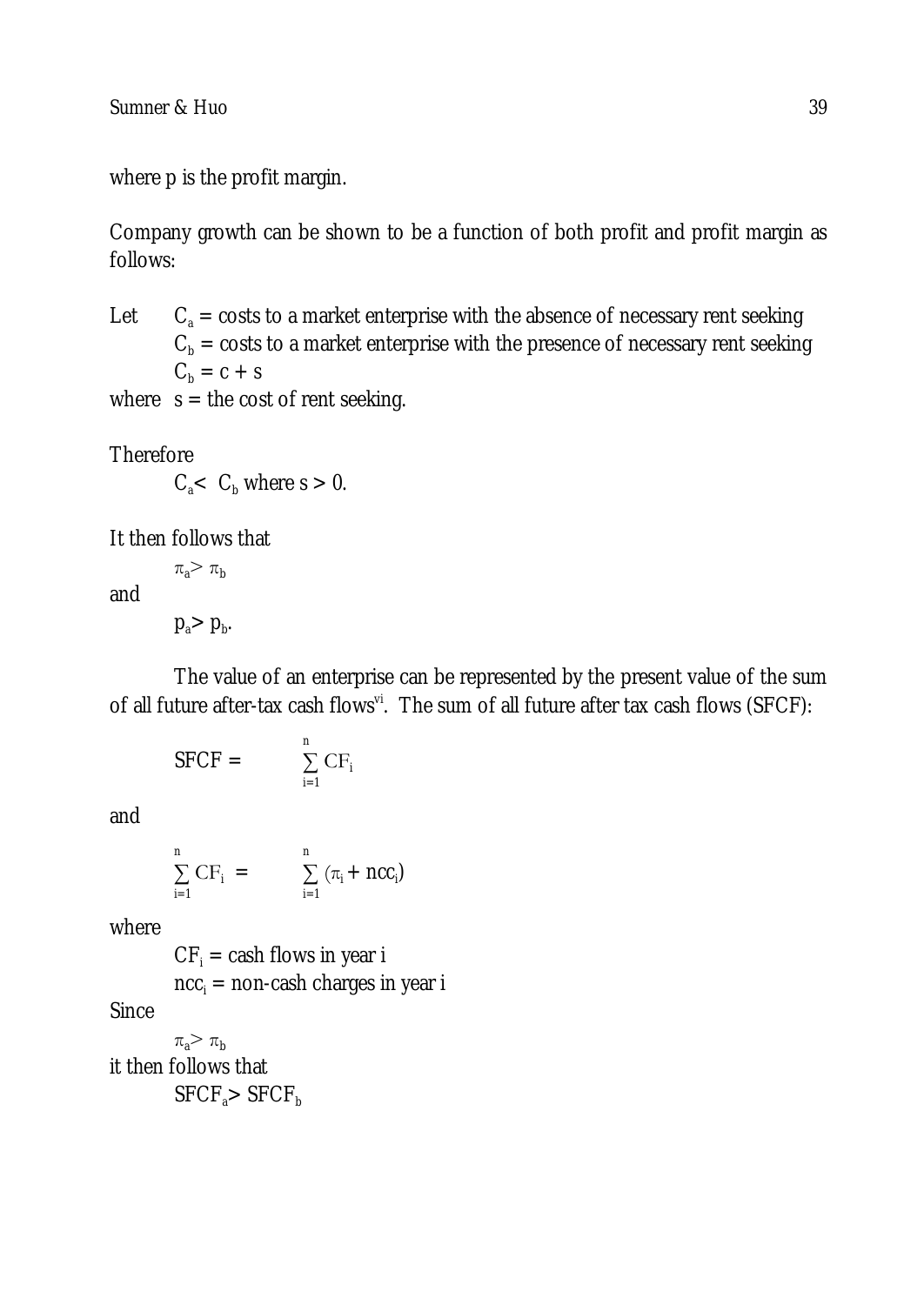Sumner & Huo 39

where p is the profit margin.

Company growth can be shown to be a function of both profit and profit margin as follows:

Let  $C_a$  = costs to a market enterprise with the absence of necessary rent seeking  $C<sub>b</sub>$  = costs to a market enterprise with the presence of necessary rent seeking  $C_b = c + s$ 

where  $s =$  the cost of rent seeking.

**Therefore** 

 $C_{\rm a}$   $\lt$   $C_{\rm h}$  where s  $> 0$ .

It then follows that

and

 $p_a$ >  $p_b$ .

 $\pi_{a}$   $\pi_{b}$ 

The value of an enterprise can be represented by the present value of the sum of all future after-tax cash flows<sup>vi</sup>. The sum of all future after tax cash flows (SFCF):

$$
SFCF = \sum_{i=1}^{n} CF_i
$$

and

$$
\sum_{i=1}^{n} CF_i = \sum_{i=1}^{n} (\pi_i + \text{NCC}_i)
$$

where

 $CF_i =$  cash flows in year i  $ncc_i$  = non-cash charges in year i

**Since** 

 $\pi_{a}$   $\pi_{b}$ it then follows that  $SFCF<sub>a</sub> > SFCF<sub>b</sub>$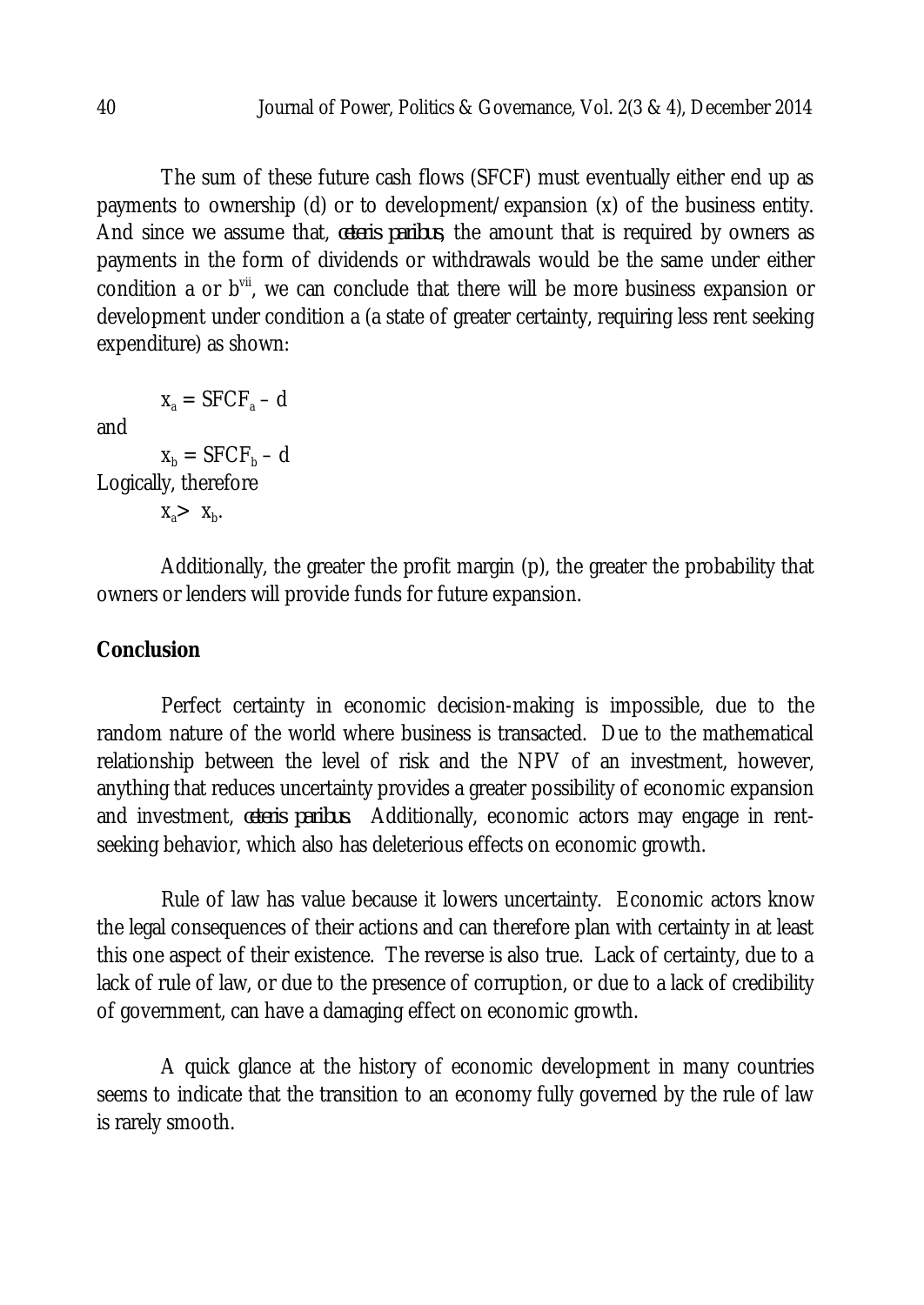The sum of these future cash flows (SFCF) must eventually either end up as payments to ownership (d) or to development/expansion (x) of the business entity. And since we assume that, *ceteris paribus*, the amount that is required by owners as payments in the form of dividends or withdrawals would be the same under either condition a or b<sup>vii</sup>, we can conclude that there will be more business expansion or development under condition a (a state of greater certainty, requiring less rent seeking expenditure) as shown:

 $x_2 =$  SFCF<sub>a</sub> – d

and

 $x_b = SFCF_b - d$ Logically, therefore

 $X_a > X_b$ .

Additionally, the greater the profit margin (p), the greater the probability that owners or lenders will provide funds for future expansion.

### **Conclusion**

Perfect certainty in economic decision-making is impossible, due to the random nature of the world where business is transacted. Due to the mathematical relationship between the level of risk and the NPV of an investment, however, anything that reduces uncertainty provides a greater possibility of economic expansion and investment, *ceteris paribus*. Additionally, economic actors may engage in rentseeking behavior, which also has deleterious effects on economic growth.

Rule of law has value because it lowers uncertainty. Economic actors know the legal consequences of their actions and can therefore plan with certainty in at least this one aspect of their existence. The reverse is also true. Lack of certainty, due to a lack of rule of law, or due to the presence of corruption, or due to a lack of credibility of government, can have a damaging effect on economic growth.

A quick glance at the history of economic development in many countries seems to indicate that the transition to an economy fully governed by the rule of law is rarely smooth.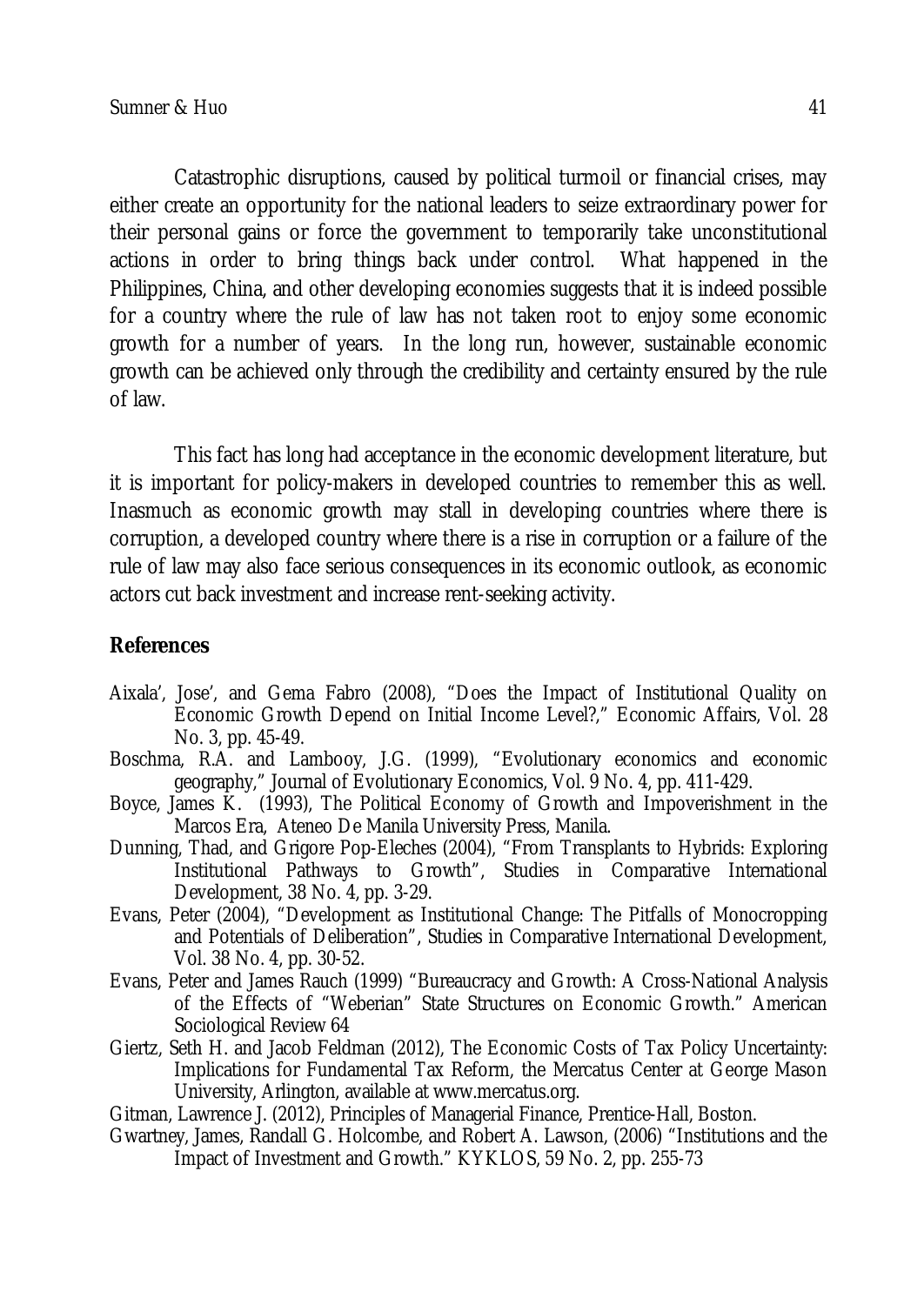Catastrophic disruptions, caused by political turmoil or financial crises, may either create an opportunity for the national leaders to seize extraordinary power for their personal gains or force the government to temporarily take unconstitutional actions in order to bring things back under control. What happened in the Philippines, China, and other developing economies suggests that it is indeed possible for a country where the rule of law has not taken root to enjoy some economic growth for a number of years. In the long run, however, sustainable economic growth can be achieved only through the credibility and certainty ensured by the rule of law.

This fact has long had acceptance in the economic development literature, but it is important for policy-makers in developed countries to remember this as well. Inasmuch as economic growth may stall in developing countries where there is corruption, a developed country where there is a rise in corruption or a failure of the rule of law may also face serious consequences in its economic outlook, as economic actors cut back investment and increase rent-seeking activity.

### **References**

- Aixala', Jose', and Gema Fabro (2008), "Does the Impact of Institutional Quality on Economic Growth Depend on Initial Income Level?," Economic Affairs, Vol. 28 No. 3, pp. 45-49.
- Boschma, R.A. and Lambooy, J.G. (1999), "Evolutionary economics and economic geography," Journal of Evolutionary Economics, Vol. 9 No. 4, pp. 411-429.
- Boyce, James K. (1993), The Political Economy of Growth and Impoverishment in the Marcos Era, Ateneo De Manila University Press, Manila.
- Dunning, Thad, and Grigore Pop-Eleches (2004), "From Transplants to Hybrids: Exploring Institutional Pathways to Growth", Studies in Comparative International Development, 38 No. 4, pp. 3-29.
- Evans, Peter (2004), "Development as Institutional Change: The Pitfalls of Monocropping and Potentials of Deliberation", Studies in Comparative International Development, Vol. 38 No. 4, pp. 30-52.
- Evans, Peter and James Rauch (1999) "Bureaucracy and Growth: A Cross-National Analysis of the Effects of "Weberian" State Structures on Economic Growth." American Sociological Review 64
- Giertz, Seth H. and Jacob Feldman (2012), The Economic Costs of Tax Policy Uncertainty: Implications for Fundamental Tax Reform, the Mercatus Center at George Mason University, Arlington, available at www.mercatus.org.
- Gitman, Lawrence J. (2012), Principles of Managerial Finance, Prentice-Hall, Boston.
- Gwartney, James, Randall G. Holcombe, and Robert A. Lawson, (2006) "Institutions and the Impact of Investment and Growth." KYKLOS, 59 No. 2, pp. 255-73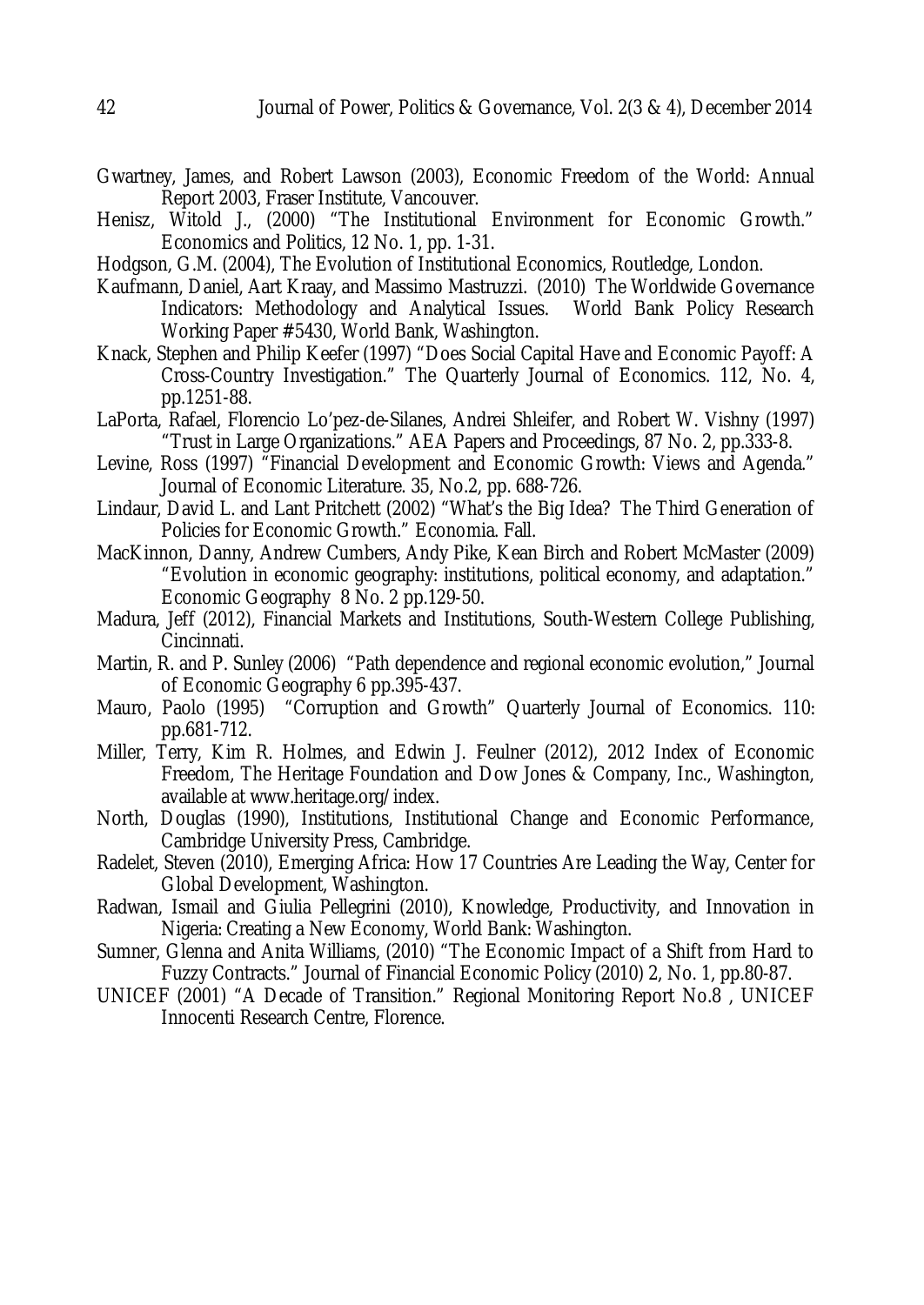- Gwartney, James, and Robert Lawson (2003), Economic Freedom of the World: Annual Report 2003, Fraser Institute, Vancouver.
- Henisz, Witold J., (2000) "The Institutional Environment for Economic Growth." Economics and Politics, 12 No. 1, pp. 1-31.
- Hodgson, G.M. (2004), The Evolution of Institutional Economics, Routledge, London.
- Kaufmann, Daniel, Aart Kraay, and Massimo Mastruzzi. (2010) The Worldwide Governance Indicators: Methodology and Analytical Issues. World Bank Policy Research Working Paper #5430, World Bank, Washington.
- Knack, Stephen and Philip Keefer (1997) "Does Social Capital Have and Economic Payoff: A Cross-Country Investigation." The Quarterly Journal of Economics. 112, No. 4, pp.1251-88.
- LaPorta, Rafael, Florencio Lo'pez-de-Silanes, Andrei Shleifer, and Robert W. Vishny (1997) "Trust in Large Organizations." AEA Papers and Proceedings, 87 No. 2, pp.333-8.
- Levine, Ross (1997) "Financial Development and Economic Growth: Views and Agenda." Journal of Economic Literature. 35, No.2, pp. 688-726.
- Lindaur, David L. and Lant Pritchett (2002) "What's the Big Idea? The Third Generation of Policies for Economic Growth." Economia. Fall.
- MacKinnon, Danny, Andrew Cumbers, Andy Pike, Kean Birch and Robert McMaster (2009) "Evolution in economic geography: institutions, political economy, and adaptation." Economic Geography 8 No. 2 pp.129-50.
- Madura, Jeff (2012), Financial Markets and Institutions, South-Western College Publishing, Cincinnati.
- Martin, R. and P. Sunley (2006) "Path dependence and regional economic evolution," Journal of Economic Geography 6 pp.395-437.
- Mauro, Paolo (1995) "Corruption and Growth" Quarterly Journal of Economics. 110: pp.681-712.
- Miller, Terry, Kim R. Holmes, and Edwin J. Feulner (2012), 2012 Index of Economic Freedom, The Heritage Foundation and Dow Jones & Company, Inc., Washington, available at www.heritage.org/index.
- North, Douglas (1990), Institutions, Institutional Change and Economic Performance, Cambridge University Press, Cambridge.
- Radelet, Steven (2010), Emerging Africa: How 17 Countries Are Leading the Way, Center for Global Development, Washington.
- Radwan, Ismail and Giulia Pellegrini (2010), Knowledge, Productivity, and Innovation in Nigeria: Creating a New Economy, World Bank: Washington.
- Sumner, Glenna and Anita Williams, (2010) "The Economic Impact of a Shift from Hard to Fuzzy Contracts." Journal of Financial Economic Policy (2010) 2, No. 1, pp.80-87.
- UNICEF (2001) "A Decade of Transition." Regional Monitoring Report No.8 , UNICEF Innocenti Research Centre, Florence.